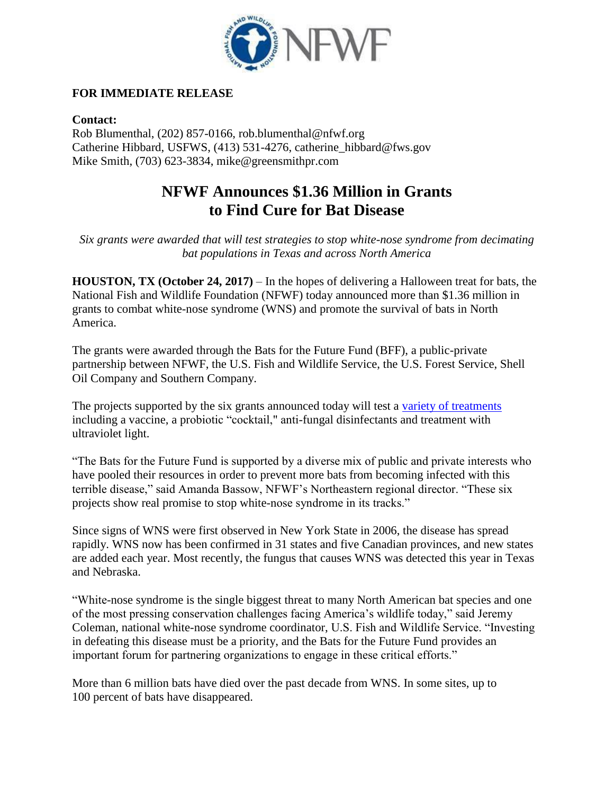

## **FOR IMMEDIATE RELEASE**

**Contact:** Rob Blumenthal, (202) 857-0166, rob.blumenthal@nfwf.org Catherine Hibbard, USFWS, (413) 531-4276, catherine\_hibbard@fws.gov Mike Smith, (703) 623-3834, mike@greensmithpr.com

## **NFWF Announces \$1.36 Million in Grants to Find Cure for Bat Disease**

*Six grants were awarded that will test strategies to stop white-nose syndrome from decimating bat populations in Texas and across North America*

**HOUSTON, TX (October 24, 2017)** – In the hopes of delivering a Halloween treat for bats, the National Fish and Wildlife Foundation (NFWF) today announced more than \$1.36 million in grants to combat white-nose syndrome (WNS) and promote the survival of bats in North America.

The grants were awarded through the Bats for the Future Fund (BFF), a public-private partnership between NFWF, the U.S. Fish and Wildlife Service, the U.S. Forest Service, Shell Oil Company and Southern Company.

The projects supported by the six grants announced today will test a [variety of treatments](https://www.whitenosesyndrome.org/sites/default/files/files/bff_project_summaries_2.pdf) including a vaccine, a probiotic "cocktail," anti-fungal disinfectants and treatment with ultraviolet light.

"The Bats for the Future Fund is supported by a diverse mix of public and private interests who have pooled their resources in order to prevent more bats from becoming infected with this terrible disease," said Amanda Bassow, NFWF's Northeastern regional director. "These six projects show real promise to stop white-nose syndrome in its tracks."

Since signs of WNS were first observed in New York State in 2006, the disease has spread rapidly. WNS now has been confirmed in 31 states and five Canadian provinces, and new states are added each year. Most recently, the fungus that causes WNS was detected this year in Texas and Nebraska.

"White-nose syndrome is the single biggest threat to many North American bat species and one of the most pressing conservation challenges facing America's wildlife today," said Jeremy Coleman, national white-nose syndrome coordinator, U.S. Fish and Wildlife Service. "Investing in defeating this disease must be a priority, and the Bats for the Future Fund provides an important forum for partnering organizations to engage in these critical efforts."

More than 6 million bats have died over the past decade from WNS. In some sites, up to 100 percent of bats have disappeared.